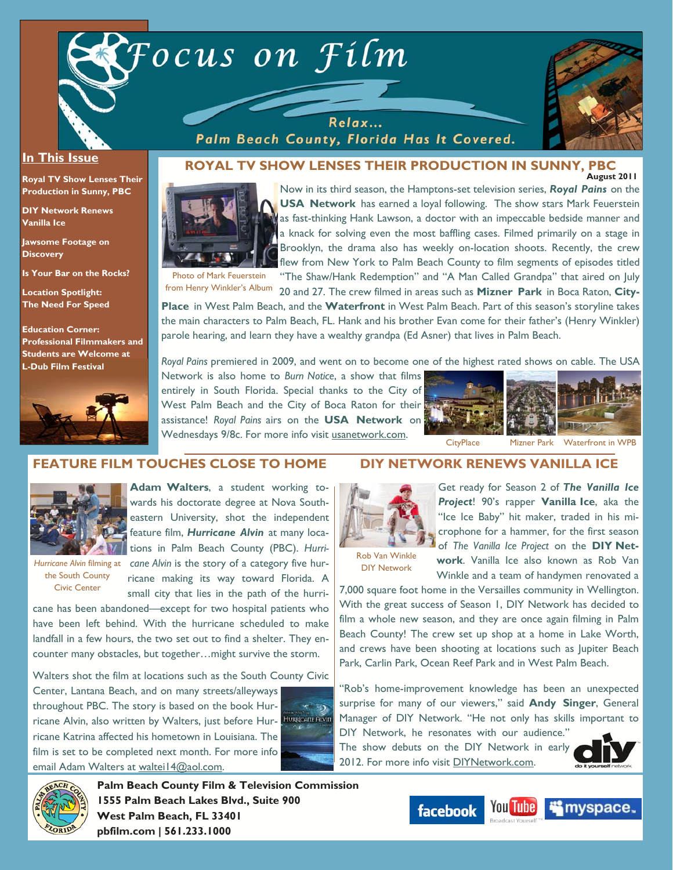



#### **In This Issue**

**Royal TV Show Lenses Their Production in Sunny, PBC** 

**DIY Network Renews Vanilla Ice** 

**Jawsome Footage on Discovery** 

**Is Your Bar on the Rocks?** 

**Location Spotlight: The Need For Speed** 

**Education Corner: Professional Filmmakers and Students are Welcome at L-Dub Film Festival**



#### **August 2011 ROYAL TV SHOW LENSES THEIR PRODUCTION IN SUNNY, PBC**

Palm Beach County, Florida Has It Covered.



Now in its third season, the Hamptons-set television series, *Royal Pains* on the **USA Network** has earned a loyal following. The show stars Mark Feuerstein as fast-thinking Hank Lawson, a doctor with an impeccable bedside manner and a knack for solving even the most baffling cases. Filmed primarily on a stage in Brooklyn, the drama also has weekly on-location shoots. Recently, the crew flew from New York to Palm Beach County to film segments of episodes titled

Photo of Mark Feuerstein

"The Shaw/Hank Redemption" and "A Man Called Grandpa" that aired on July from Henry Winkler's Album 20 and 27. The crew filmed in areas such as **Mizner Park** in Boca Raton, **City-**

**Place** in West Palm Beach, and the **Waterfront** in West Palm Beach. Part of this season's storyline takes the main characters to Palm Beach, FL. Hank and his brother Evan come for their father's (Henry Winkler) parole hearing, and learn they have a wealthy grandpa (Ed Asner) that lives in Palm Beach.

*Royal Pains* premiered in 2009, and went on to become one of the highest rated shows on cable. The USA

Network is also home to *Burn Notice*, a show that films entirely in South Florida. Special thanks to the City of West Palm Beach and the City of Boca Raton for their assistance! *Royal Pains* airs on the **USA Network** on Wednesdays 9/8c. For more info visit usanetwork.com.



### **FEATURE FILM TOUCHES CLOSE TO HOME**



**Adam Walters**, a student working towards his doctorate degree at Nova Southeastern University, shot the independent feature film, *Hurricane Alvin* at many loca**the VII** tions in Palm Beach County (PBC). Hurri-

the South County Civic Center

Hurricane Alvin filming at cane Alvin is the story of a category five hurricane making its way toward Florida. A small city that lies in the path of the hurri-

cane has been abandoned—except for two hospital patients who have been left behind. With the hurricane scheduled to make landfall in a few hours, the two set out to find a shelter. They encounter many obstacles, but together…might survive the storm.

Walters shot the film at locations such as the South County Civic

Center, Lantana Beach, and on many streets/alleyways throughout PBC. The story is based on the book Hurricane Alvin, also written by Walters, just before Hurricane Katrina affected his hometown in Louisiana. The film is set to be completed next month. For more info email Adam Walters at waltei14@aol.com.



# **DIY NETWORK RENEWS VANILLA ICE**



Get ready for Season 2 of *The Vanilla Ice Project*! 90's rapper **Vanilla Ice**, aka the "Ice Ice Baby" hit maker, traded in his microphone for a hammer, for the first season of *The Vanilla Ice Project* on the **DIY Network**. Vanilla Ice also known as Rob Van Winkle and a team of handymen renovated a

Rob Van Winkle DIY Network

7,000 square foot home in the Versailles community in Wellington. With the great success of Season 1, DIY Network has decided to film a whole new season, and they are once again filming in Palm Beach County! The crew set up shop at a home in Lake Worth, and crews have been shooting at locations such as Jupiter Beach Park, Carlin Park, Ocean Reef Park and in West Palm Beach.

"Rob's home-improvement knowledge has been an unexpected surprise for many of our viewers," said **Andy Singer**, General Manager of DIY Network. "He not only has skills important to DIY Network, he resonates with our audience."

The show debuts on the DIY Network in early 2012. For more info visit **DIYNetwork.com**.





**Palm Beach County Film & Television Commission 1555 Palm Beach Lakes Blvd., Suite 900 West Palm Beach, FL 33401 pbfilm.com | 561.233.1000** 

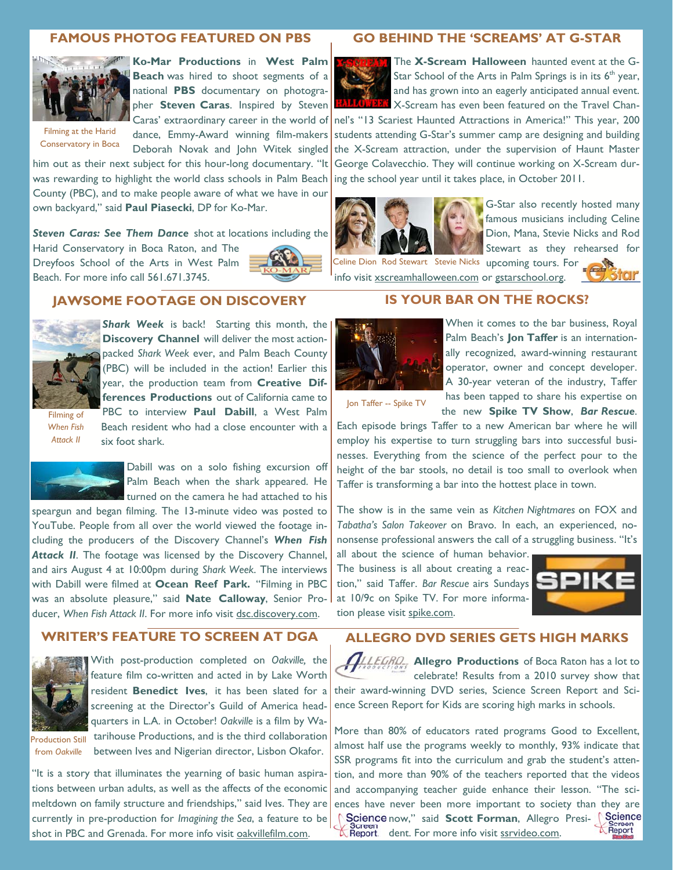## **FAMOUS PHOTOG FEATURED ON PBS**



**Ko-Mar Productions** in **West Palm Beach** was hired to shoot segments of a national **PBS** documentary on photographer **Steven Caras**. Inspired by Steven

Filming at the Harid Conservatory in Boca dance, Emmy-Award winning film-makers Deborah Novak and John Witek singled

him out as their next subject for this hour-long documentary. "It was rewarding to highlight the world class schools in Palm Beach County (PBC), and to make people aware of what we have in our own backyard," said **Paul Piasecki**, DP for Ko-Mar.

*Steven Caras: See Them Dance* shot at locations including the

Harid Conservatory in Boca Raton, and The Dreyfoos School of the Arts in West Palm Beach. For more info call 561.671.3745.



#### **GO BEHIND THE 'SCREAMS' AT G-STAR**



The **X-Scream Halloween** haunted event at the G-Star School of the Arts in Palm Springs is in its  $6<sup>th</sup>$  year, and has grown into an eagerly anticipated annual event. X-Scream has even been featured on the Travel Chan-

Caras' extraordinary career in the world of nel's "13 Scariest Haunted Attractions in America!" This year, 200 students attending G-Star's summer camp are designing and building the X-Scream attraction, under the supervision of Haunt Master George Colavecchio. They will continue working on X-Scream during the school year until it takes place, in October 2011.



G-Star also recently hosted many famous musicians including Celine Dion, Mana, Stevie Nicks and Rod Stewart as they rehearsed for

Celine Dion Rod Stewart Stevie Nicks upcoming tours. For info visit xscreamhalloween.com or gstarschool.org.



## **JAWSOME FOOTAGE ON DISCOVERY**



**Shark Week** is back! Starting this month, the **Discovery Channel** will deliver the most actionpacked *Shark Week* ever, and Palm Beach County (PBC) will be included in the action! Earlier this year, the production team from **Creative Differences Productions** out of California came to PBC to interview **Paul Dabill**, a West Palm

Filming of *When Fish Attack II*

Beach resident who had a close encounter with a six foot shark.



Dabill was on a solo fishing excursion off Palm Beach when the shark appeared. He turned on the camera he had attached to his

speargun and began filming. The 13-minute video was posted to YouTube. People from all over the world viewed the footage including the producers of the Discovery Channel's *When Fish Attack II*. The footage was licensed by the Discovery Channel, and airs August 4 at 10:00pm during *Shark Week*. The interviews with Dabill were filmed at **Ocean Reef Park.** "Filming in PBC was an absolute pleasure," said **Nate Calloway**, Senior Producer, *When Fish Attack II*. For more info visit dsc.discovery.com.

# **WRITER'S FEATURE TO SCREEN AT DGA**



With post-production completed on *Oakville,* the feature film co-written and acted in by Lake Worth resident **Benedict Ives**, it has been slated for a screening at the Director's Guild of America headquarters in L.A. in October! *Oakville* is a film by Watarihouse Productions, and is the third collaboration

**Production Still** from *Oakville*

between Ives and Nigerian director, Lisbon Okafor.

"It is a story that illuminates the yearning of basic human aspirations between urban adults, as well as the affects of the economic meltdown on family structure and friendships," said Ives. They are currently in pre-production for *Imagining the Sea*, a feature to be shot in PBC and Grenada. For more info visit oakvillefilm.com.

## **IS YOUR BAR ON THE ROCKS?**



When it comes to the bar business, Royal Palm Beach's **Jon Taffer** is an internationally recognized, award-winning restaurant operator, owner and concept developer. A 30-year veteran of the industry, Taffer has been tapped to share his expertise on the new **Spike TV Show**, *Bar Rescue*.

Jon Taffer -- Spike TV

Each episode brings Taffer to a new American bar where he will employ his expertise to turn struggling bars into successful businesses. Everything from the science of the perfect pour to the height of the bar stools, no detail is too small to overlook when Taffer is transforming a bar into the hottest place in town.

The show is in the same vein as *Kitchen Nightmares* on FOX and *Tabatha's Salon Takeover* on Bravo. In each, an experienced, nononsense professional answers the call of a struggling business. "It's

all about the science of human behavior. The business is all about creating a reaction," said Taffer. *Bar Rescue* airs Sundays at 10/9c on Spike TV. For more information please visit spike.com.



# **ALLEGRO DVD SERIES GETS HIGH MARKS**

**ALLEGRO**, **Allegro Productions** of Boca Raton has a lot to celebrate! Results from a 2010 survey show that their award-winning DVD series, Science Screen Report and Science Screen Report for Kids are scoring high marks in schools.

More than 80% of educators rated programs Good to Excellent, almost half use the programs weekly to monthly, 93% indicate that SSR programs fit into the curriculum and grab the student's attention, and more than 90% of the teachers reported that the videos and accompanying teacher guide enhance their lesson. "The sciences have never been more important to society than they are Science now," said Scott Forman, Allegro Presi- Science Screen<br>Report Screen.<br>**CReport.** dent. For more info visit <u>ssrvideo.com</u>.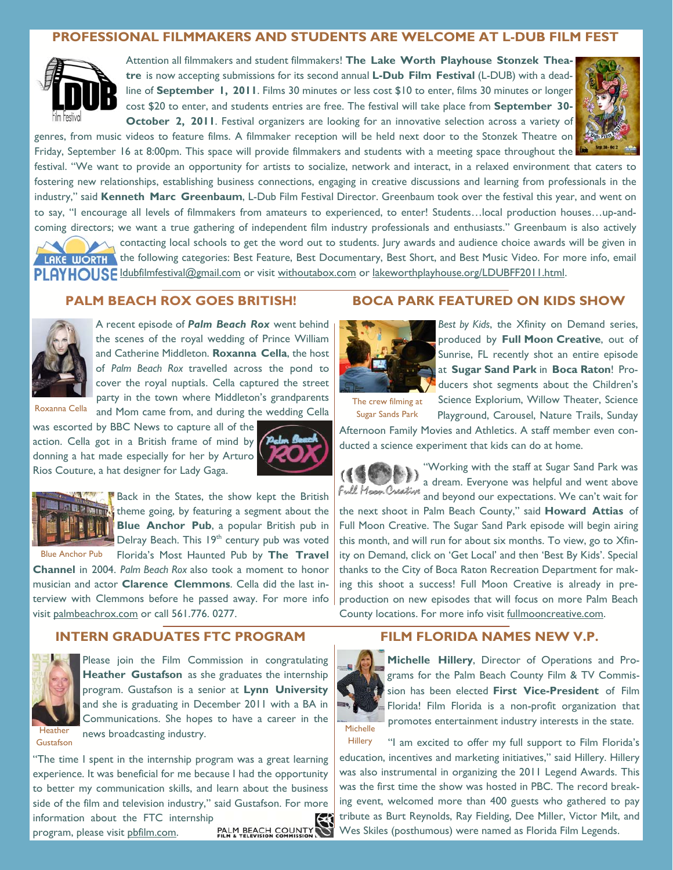# **PROFESSIONAL FILMMAKERS AND STUDENTS ARE WELCOME AT L-DUB FILM FEST**



Attention all filmmakers and student filmmakers! **The Lake Worth Playhouse Stonzek Theatre** is now accepting submissions for its second annual **L-Dub Film Festival** (L-DUB) with a deadline of **September 1, 2011**. Films 30 minutes or less cost \$10 to enter, films 30 minutes or longer cost \$20 to enter, and students entries are free. The festival will take place from **September 30- October 2, 2011**. Festival organizers are looking for an innovative selection across a variety of



Friday, September 16 at 8:00pm. This space will provide filmmakers and students with a meeting space throughout the festival. "We want to provide an opportunity for artists to socialize, network and interact, in a relaxed environment that caters to fostering new relationships, establishing business connections, engaging in creative discussions and learning from professionals in the industry," said **Kenneth Marc Greenbaum**, L-Dub Film Festival Director. Greenbaum took over the festival this year, and went on to say, "I encourage all levels of filmmakers from amateurs to experienced, to enter! Students…local production houses…up-andcoming directors; we want a true gathering of independent film industry professionals and enthusiasts." Greenbaum is also actively



contacting local schools to get the word out to students. Jury awards and audience choice awards will be given in LAKE WORTH the following categories: Best Feature, Best Documentary, Best Short, and Best Music Video. For more info, email PLAYHOUSE Idubfilmfestival@gmail.com or visit withoutabox.com or lakeworthplayhouse.org/LDUBFF2011.html.

## **PALM BEACH ROX GOES BRITISH!**



A recent episode of *Palm Beach Rox* went behind the scenes of the royal wedding of Prince William and Catherine Middleton. **Roxanna Cella**, the host of *Palm Beach Rox* travelled across the pond to cover the royal nuptials. Cella captured the street party in the town where Middleton's grandparents and Mom came from, and during the wedding Cella

Roxanna Cella

was escorted by BBC News to capture all of the action. Cella got in a British frame of mind by donning a hat made especially for her by Arturo Rios Couture, a hat designer for Lady Gaga.





**Back** in the States, the show kept the British  $\mathbb{E}$  theme going, by featuring a segment about the **Blue Anchor Pub**, a popular British pub in Delray Beach. This 19<sup>th</sup> century pub was voted

Florida's Most Haunted Pub by **The Travel Channel** in 2004. *Palm Beach Rox* also took a moment to honor musician and actor **Clarence Clemmons**. Cella did the last interview with Clemmons before he passed away. For more info visit palmbeachrox.com or call 561.776. 0277. Blue Anchor Pub

## **INTERN GRADUATES FTC PROGRAM**



Please join the Film Commission in congratulating **Heather Gustafson** as she graduates the internship program. Gustafson is a senior at **Lynn University**  and she is graduating in December 2011 with a BA in Communications. She hopes to have a career in the news broadcasting industry.

Gustafson

"The time I spent in the internship program was a great learning experience. It was beneficial for me because I had the opportunity to better my communication skills, and learn about the business side of the film and television industry," said Gustafson. For more

information about the FTC internship<br>program, please visit phfilm.com. program, please visit pbfilm.com.

# **BOCA PARK FEATURED ON KIDS SHOW**



*Best by Kids*, the Xfinity on Demand series, produced by **Full Moon Creative**, out of Sunrise, FL recently shot an entire episode at **Sugar Sand Park** in **Boca Raton**! Producers shot segments about the Children's Science Explorium, Willow Theater, Science

Playground, Carousel, Nature Trails, Sunday

The crew filming at Sugar Sands Park

Afternoon Family Movies and Athletics. A staff member even conducted a science experiment that kids can do at home.



"Working with the staff at Sugar Sand Park was a dream. Everyone was helpful and went above Full Moon Overtive and beyond our expectations. We can't wait for

the next shoot in Palm Beach County," said **Howard Attias** of Full Moon Creative. The Sugar Sand Park episode will begin airing this month, and will run for about six months. To view, go to Xfinity on Demand, click on 'Get Local' and then 'Best By Kids'. Special thanks to the City of Boca Raton Recreation Department for making this shoot a success! Full Moon Creative is already in preproduction on new episodes that will focus on more Palm Beach County locations. For more info visit fullmooncreative.com.

# **FILM FLORIDA NAMES NEW V.P.**



**Michelle Hillery**, Director of Operations and Programs for the Palm Beach County Film & TV Commission has been elected **First Vice-President** of Film Florida! Film Florida is a non-profit organization that promotes entertainment industry interests in the state.

"I am excited to offer my full support to Film Florida's education, incentives and marketing initiatives," said Hillery. Hillery was also instrumental in organizing the 2011 Legend Awards. This was the first time the show was hosted in PBC. The record breaking event, welcomed more than 400 guests who gathered to pay tribute as Burt Reynolds, Ray Fielding, Dee Miller, Victor Milt, and Wes Skiles (posthumous) were named as Florida Film Legends. **Hillery**